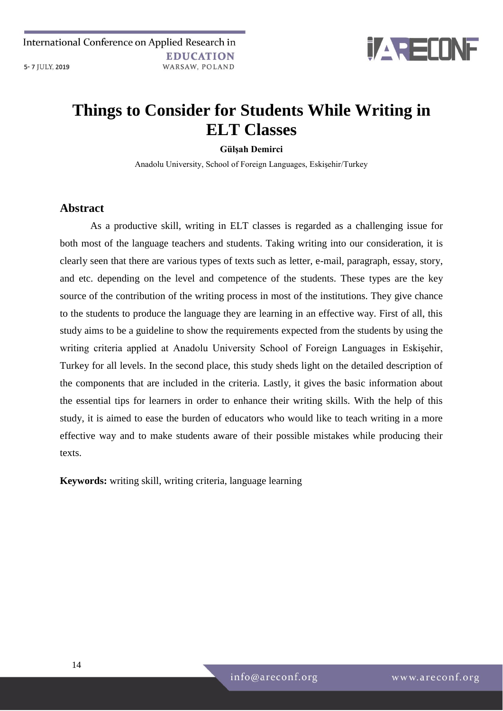International Conference on Applied Research in **EDUCATION** 5-7 JULY, 2019 WARSAW, POLAND



# **Things to Consider for Students While Writing in ELT Classes**

#### **Gülşah Demirci**

Anadolu University, School of Foreign Languages, Eskişehir/Turkey

#### **Abstract**

As a productive skill, writing in ELT classes is regarded as a challenging issue for both most of the language teachers and students. Taking writing into our consideration, it is clearly seen that there are various types of texts such as letter, e-mail, paragraph, essay, story, and etc. depending on the level and competence of the students. These types are the key source of the contribution of the writing process in most of the institutions. They give chance to the students to produce the language they are learning in an effective way. First of all, this study aims to be a guideline to show the requirements expected from the students by using the writing criteria applied at Anadolu University School of Foreign Languages in Eskişehir, Turkey for all levels. In the second place, this study sheds light on the detailed description of the components that are included in the criteria. Lastly, it gives the basic information about the essential tips for learners in order to enhance their writing skills. With the help of this study, it is aimed to ease the burden of educators who would like to teach writing in a more effective way and to make students aware of their possible mistakes while producing their texts.

**Keywords:** writing skill, writing criteria, language learning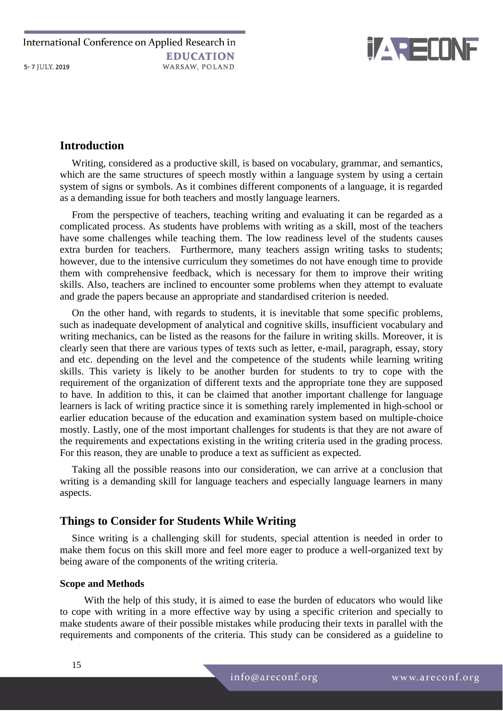

# **Introduction**

Writing, considered as a productive skill, is based on vocabulary, grammar, and semantics, which are the same structures of speech mostly within a language system by using a certain system of signs or symbols. As it combines different components of a language, it is regarded as a demanding issue for both teachers and mostly language learners.

From the perspective of teachers, teaching writing and evaluating it can be regarded as a complicated process. As students have problems with writing as a skill, most of the teachers have some challenges while teaching them. The low readiness level of the students causes extra burden for teachers. Furthermore, many teachers assign writing tasks to students; however, due to the intensive curriculum they sometimes do not have enough time to provide them with comprehensive feedback, which is necessary for them to improve their writing skills. Also, teachers are inclined to encounter some problems when they attempt to evaluate and grade the papers because an appropriate and standardised criterion is needed.

On the other hand, with regards to students, it is inevitable that some specific problems, such as inadequate development of analytical and cognitive skills, insufficient vocabulary and writing mechanics, can be listed as the reasons for the failure in writing skills. Moreover, it is clearly seen that there are various types of texts such as letter, e-mail, paragraph, essay, story and etc. depending on the level and the competence of the students while learning writing skills. This variety is likely to be another burden for students to try to cope with the requirement of the organization of different texts and the appropriate tone they are supposed to have. In addition to this, it can be claimed that another important challenge for language learners is lack of writing practice since it is something rarely implemented in high-school or earlier education because of the education and examination system based on multiple-choice mostly. Lastly, one of the most important challenges for students is that they are not aware of the requirements and expectations existing in the writing criteria used in the grading process. For this reason, they are unable to produce a text as sufficient as expected.

Taking all the possible reasons into our consideration, we can arrive at a conclusion that writing is a demanding skill for language teachers and especially language learners in many aspects.

# **Things to Consider for Students While Writing**

Since writing is a challenging skill for students, special attention is needed in order to make them focus on this skill more and feel more eager to produce a well-organized text by being aware of the components of the writing criteria.

### **Scope and Methods**

With the help of this study, it is aimed to ease the burden of educators who would like to cope with writing in a more effective way by using a specific criterion and specially to make students aware of their possible mistakes while producing their texts in parallel with the requirements and components of the criteria. This study can be considered as a guideline to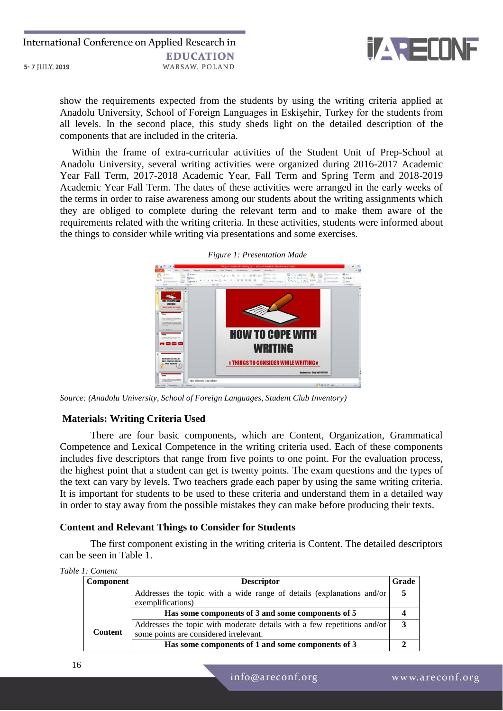

show the requirements expected from the students by using the writing criteria applied at Anadolu University, School of Foreign Languages in Eskişehir, Turkey for the students from all levels. In the second place, this study sheds light on the detailed description of the components that are included in the criteria.

Within the frame of extra-curricular activities of the Student Unit of Prep-School at Anadolu University, several writing activities were organized during 2016-2017 Academic Year Fall Term, 2017-2018 Academic Year, Fall Term and Spring Term and 2018-2019 Academic Year Fall Term. The dates of these activities were arranged in the early weeks of the terms in order to raise awareness among our students about the writing assignments which they are obliged to complete during the relevant term and to make them aware of the requirements related with the writing criteria. In these activities, students were informed about the things to consider while writing via presentations and some exercises.



*Figure 1: Presentation Made* 

*Source: (Anadolu University, School of Foreign Languages, Student Club Inventory)*

#### **Materials: Writing Criteria Used**

There are four basic components, which are Content, Organization, Grammatical Competence and Lexical Competence in the writing criteria used. Each of these components includes five descriptors that range from five points to one point. For the evaluation process, the highest point that a student can get is twenty points. The exam questions and the types of the text can vary by levels. Two teachers grade each paper by using the same writing criteria. It is important for students to be used to these criteria and understand them in a detailed way in order to stay away from the possible mistakes they can make before producing their texts.

#### **Content and Relevant Things to Consider for Students**

The first component existing in the writing criteria is Content. The detailed descriptors can be seen in Table 1.

| Table 1: Content |  |
|------------------|--|
|------------------|--|

| <b>Component</b><br><b>Descriptor</b> |                                                                                                                   | Grade |
|---------------------------------------|-------------------------------------------------------------------------------------------------------------------|-------|
|                                       | Addresses the topic with a wide range of details (explanations and/or<br>exemplifications)                        |       |
|                                       | Has some components of 3 and some components of 5                                                                 |       |
| <b>Content</b>                        | Addresses the topic with moderate details with a few repetitions and/or<br>some points are considered irrelevant. | 3     |
|                                       | Has some components of 1 and some components of 3                                                                 |       |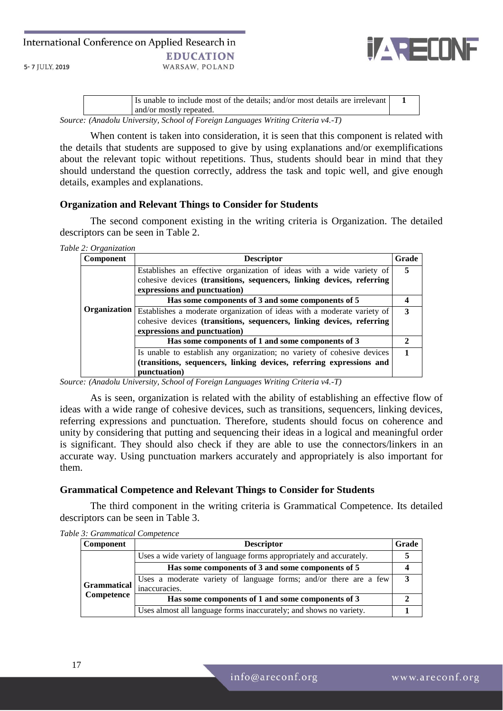International Conference on Applied Research in **EDUCATION** 5-7 JULY, 2019 WARSAW, POLAND



| It is unable to include most of the details: and/or most details are irrelevant<br>and/or mostly repeated. |  |  |  |
|------------------------------------------------------------------------------------------------------------|--|--|--|
| Source: (Anadolu University, School of Foreign Languages Writing Criteria v4.-T)                           |  |  |  |

When content is taken into consideration, it is seen that this component is related with the details that students are supposed to give by using explanations and/or exemplifications about the relevant topic without repetitions. Thus, students should bear in mind that they should understand the question correctly, address the task and topic well, and give enough details, examples and explanations.

### **Organization and Relevant Things to Consider for Students**

The second component existing in the writing criteria is Organization. The detailed descriptors can be seen in Table 2.

*Table 2: Organization*

| Component | <b>Descriptor</b>                                                                    | Grade |
|-----------|--------------------------------------------------------------------------------------|-------|
|           | Establishes an effective organization of ideas with a wide variety of                | 5     |
|           | cohesive devices (transitions, sequencers, linking devices, referring                |       |
|           | expressions and punctuation)                                                         |       |
|           | Has some components of 3 and some components of 5                                    |       |
|           | Organization Establishes a moderate organization of ideas with a moderate variety of | 3     |
|           | cohesive devices (transitions, sequencers, linking devices, referring                |       |
|           | expressions and punctuation)                                                         |       |
|           | Has some components of 1 and some components of 3                                    |       |
|           | Is unable to establish any organization; no variety of cohesive devices              |       |
|           | (transitions, sequencers, linking devices, referring expressions and                 |       |
|           | punctuation)                                                                         |       |

*Source: (Anadolu University, School of Foreign Languages Writing Criteria v4.-T)*

As is seen, organization is related with the ability of establishing an effective flow of ideas with a wide range of cohesive devices, such as transitions, sequencers, linking devices, referring expressions and punctuation. Therefore, students should focus on coherence and unity by considering that putting and sequencing their ideas in a logical and meaningful order is significant. They should also check if they are able to use the connectors/linkers in an accurate way. Using punctuation markers accurately and appropriately is also important for them.

### **Grammatical Competence and Relevant Things to Consider for Students**

The third component in the writing criteria is Grammatical Competence. Its detailed descriptors can be seen in Table 3.

| Component          | <b>Descriptor</b>                                                   | Grade |
|--------------------|---------------------------------------------------------------------|-------|
|                    | Uses a wide variety of language forms appropriately and accurately. |       |
|                    | Has some components of 3 and some components of 5                   |       |
| <b>Grammatical</b> | Uses a moderate variety of language forms; and/or there are a few   | 3     |
| Competence         | inaccuracies.                                                       |       |
|                    | Has some components of 1 and some components of 3                   |       |
|                    | Uses almost all language forms inaccurately; and shows no variety.  |       |

*Table 3: Grammatical Competence*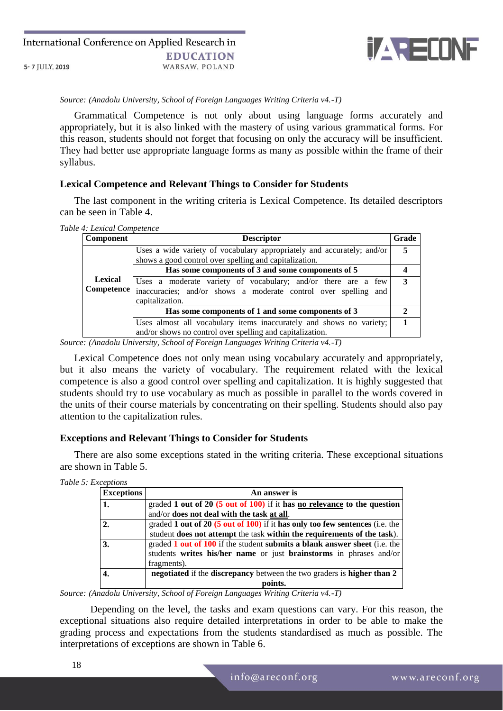

*Source: (Anadolu University, School of Foreign Languages Writing Criteria v4.-T)*

Grammatical Competence is not only about using language forms accurately and appropriately, but it is also linked with the mastery of using various grammatical forms. For this reason, students should not forget that focusing on only the accuracy will be insufficient. They had better use appropriate language forms as many as possible within the frame of their syllabus.

#### **Lexical Competence and Relevant Things to Consider for Students**

The last component in the writing criteria is Lexical Competence. Its detailed descriptors can be seen in Table 4.

*Table 4: Lexical Competence*

| <b>Component</b> | <b>Descriptor</b>                                                      | Grade |
|------------------|------------------------------------------------------------------------|-------|
|                  | Uses a wide variety of vocabulary appropriately and accurately; and/or | 5     |
|                  | shows a good control over spelling and capitalization.                 |       |
|                  | Has some components of 3 and some components of 5                      |       |
| <b>Lexical</b>   | Uses a moderate variety of vocabulary; and/or there are a few          | 3     |
| Competence       | inaccuracies; and/or shows a moderate control over spelling and        |       |
|                  | capitalization.                                                        |       |
|                  | Has some components of 1 and some components of 3                      |       |
|                  | Uses almost all vocabulary items inaccurately and shows no variety;    |       |
|                  | and/or shows no control over spelling and capitalization.              |       |

*Source: (Anadolu University, School of Foreign Languages Writing Criteria v4.-T)*

Lexical Competence does not only mean using vocabulary accurately and appropriately, but it also means the variety of vocabulary. The requirement related with the lexical competence is also a good control over spelling and capitalization. It is highly suggested that students should try to use vocabulary as much as possible in parallel to the words covered in the units of their course materials by concentrating on their spelling. Students should also pay attention to the capitalization rules.

### **Exceptions and Relevant Things to Consider for Students**

There are also some exceptions stated in the writing criteria. These exceptional situations are shown in Table 5.

| <b>Exceptions</b> | An answer is                                                                   |
|-------------------|--------------------------------------------------------------------------------|
| 1.                | graded 1 out of 20 (5 out of 100) if it has no relevance to the question       |
|                   | and/or does not deal with the task at all.                                     |
| 2.                | graded 1 out of 20 $(5$ out of 100) if it has only too few sentences (i.e. the |
|                   | student does not attempt the task within the requirements of the task).        |
| 3.                | graded 1 out of 100 if the student submits a blank answer sheet (i.e. the      |
|                   | students writes his/her name or just brainstorms in phrases and/or             |
|                   | fragments).                                                                    |
|                   | negotiated if the discrepancy between the two graders is higher than 2         |
|                   | points.                                                                        |

*Source: (Anadolu University, School of Foreign Languages Writing Criteria v4.-T)*

Depending on the level, the tasks and exam questions can vary. For this reason, the exceptional situations also require detailed interpretations in order to be able to make the grading process and expectations from the students standardised as much as possible. The interpretations of exceptions are shown in Table 6.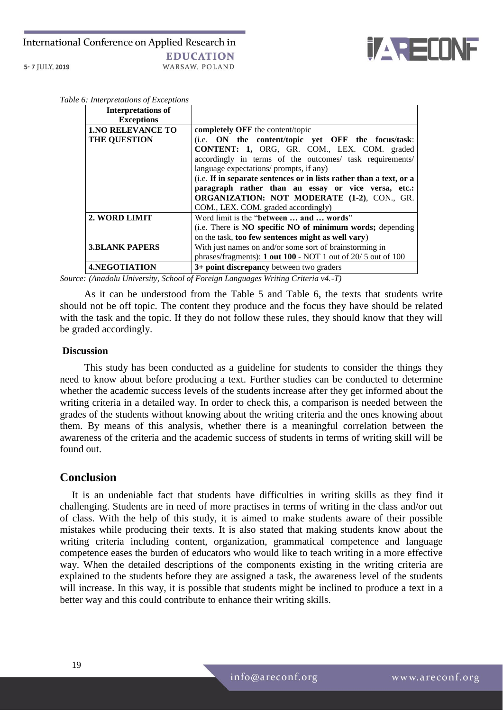#### International Conference on Applied Research in **EDUCATION** WARSAW, POLAND 5-7 JULY, 2019



*Table 6: Interpretations of Exceptions*

| <b>Interpretations of</b> |                                                                     |
|---------------------------|---------------------------------------------------------------------|
| <b>Exceptions</b>         |                                                                     |
| <b>1.NO RELEVANCE TO</b>  | completely OFF the content/topic                                    |
| <b>THE QUESTION</b>       | (i.e. ON the content/topic yet OFF the focus/task:                  |
|                           | <b>CONTENT: 1, ORG, GR. COM., LEX. COM.</b> graded                  |
|                           | accordingly in terms of the outcomes/ task requirements/            |
|                           | language expectations/ prompts, if any)                             |
|                           | (i.e. If in separate sentences or in lists rather than a text, or a |
|                           | paragraph rather than an essay or vice versa, etc.:                 |
|                           | <b>ORGANIZATION: NOT MODERATE (1-2), CON., GR.</b>                  |
|                           | COM., LEX. COM. graded accordingly)                                 |
| 2. WORD LIMIT             | Word limit is the "between  and  words"                             |
|                           | (i.e. There is NO specific NO of minimum words; depending           |
|                           | on the task, too few sentences might as well vary)                  |
| <b>3.BLANK PAPERS</b>     | With just names on and/or some sort of brainstorming in             |
|                           | phrases/fragments): 1 out 100 - NOT 1 out of 20/5 out of 100        |
| <b>4.NEGOTIATION</b>      | 3+ point discrepancy between two graders                            |

*Source: (Anadolu University, School of Foreign Languages Writing Criteria v4.-T)*

As it can be understood from the Table 5 and Table 6, the texts that students write should not be off topic. The content they produce and the focus they have should be related with the task and the topic. If they do not follow these rules, they should know that they will be graded accordingly.

#### **Discussion**

This study has been conducted as a guideline for students to consider the things they need to know about before producing a text. Further studies can be conducted to determine whether the academic success levels of the students increase after they get informed about the writing criteria in a detailed way. In order to check this, a comparison is needed between the grades of the students without knowing about the writing criteria and the ones knowing about them. By means of this analysis, whether there is a meaningful correlation between the awareness of the criteria and the academic success of students in terms of writing skill will be found out.

## **Conclusion**

It is an undeniable fact that students have difficulties in writing skills as they find it challenging. Students are in need of more practises in terms of writing in the class and/or out of class. With the help of this study, it is aimed to make students aware of their possible mistakes while producing their texts. It is also stated that making students know about the writing criteria including content, organization, grammatical competence and language competence eases the burden of educators who would like to teach writing in a more effective way. When the detailed descriptions of the components existing in the writing criteria are explained to the students before they are assigned a task, the awareness level of the students will increase. In this way, it is possible that students might be inclined to produce a text in a better way and this could contribute to enhance their writing skills.